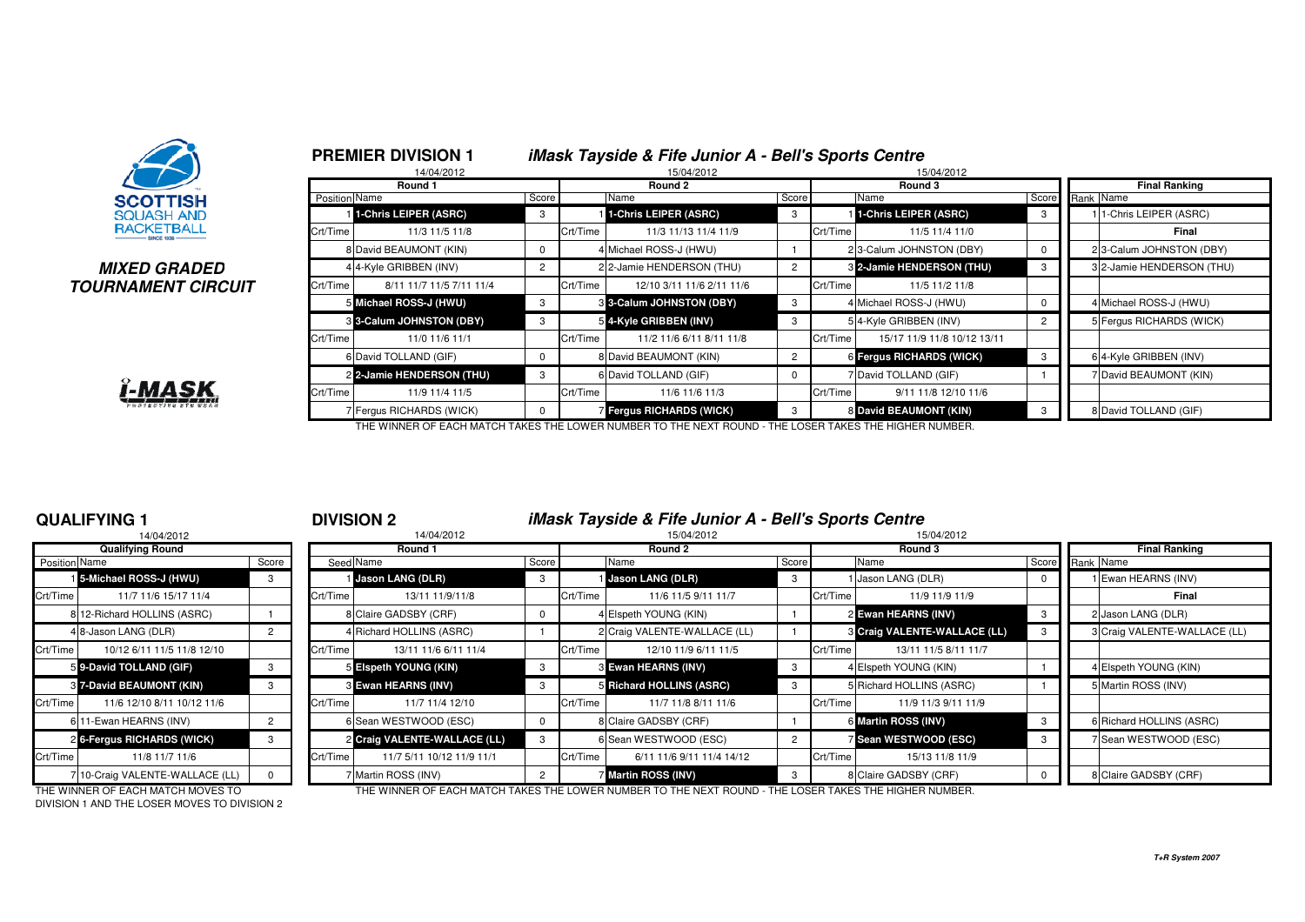

## **MIXED GRADEDTOURNAMENT CIRCUIT**



|               | <b>PREMIER DIVISION 1</b><br>14/04/2012 |                |          | <b>iMask Tayside &amp; Fife Junior A - Bell's Sports Centre</b><br>15/04/2012 |                |          | 15/04/2012                      |                |                           |
|---------------|-----------------------------------------|----------------|----------|-------------------------------------------------------------------------------|----------------|----------|---------------------------------|----------------|---------------------------|
|               | Round 1                                 |                |          | Round 2                                                                       |                |          | Round 3                         |                | <b>Final Ranking</b>      |
| Position Name |                                         | Score          |          | Name                                                                          | Score          |          | Name                            | Score          | Rank Name                 |
|               | 1-Chris LEIPER (ASRC)                   | 3              |          | 1-Chris LEIPER (ASRC)                                                         | 3              |          | 1-Chris LEIPER (ASRC)           | 3              | 11-Chris LEIPER (ASRC)    |
| Crt/Time      | 11/3 11/5 11/8                          |                | Crt/Time | 11/3 11/13 11/4 11/9                                                          |                | Crt/Time | 11/5 11/4 11/0                  |                | Final                     |
|               | 8 David BEAUMONT (KIN)                  | 0              |          | 4 Michael ROSS-J (HWU)                                                        |                |          | 23-Calum JOHNSTON (DBY)         | 0              | 23-Calum JOHNSTON (DBY)   |
|               | 4 4-Kyle GRIBBEN (INV)                  | $\overline{c}$ |          | 2 2-Jamie HENDERSON (THU)                                                     | $\overline{2}$ |          | 3 2-Jamie HENDERSON (THU)       | 3              | 3 2-Jamie HENDERSON (THU) |
| Crt/Time      | 8/11 11/7 11/5 7/11 11/4                |                | Crt/Time | 12/10 3/11 11/6 2/11 11/6                                                     |                | Crt/Time | 11/5 11/2 11/8                  |                |                           |
|               | 5 Michael ROSS-J (HWU)                  | 3              |          | <b>8 3-Calum JOHNSTON (DBY)</b>                                               | 3              |          | 4 Michael ROSS-J (HWU)          | 0              | 4 Michael ROSS-J (HWU)    |
|               | <b>8 3-Calum JOHNSTON (DBY)</b>         | 3              |          | 5 4-Kyle GRIBBEN (INV)                                                        | 3              |          | 54-Kyle GRIBBEN (INV)           | $\overline{2}$ | 5 Fergus RICHARDS (WICK)  |
| Crt/Time      | 11/0 11/6 11/1                          |                | Crt/Time | 11/2 11/6 6/11 8/11 11/8                                                      |                | Crt/Time | 15/17 11/9 11/8 10/12 13/11     |                |                           |
|               | 6 David TOLLAND (GIF)                   | 0              |          | 8 David BEAUMONT (KIN)                                                        | $\overline{2}$ |          | <b>6 Fergus RICHARDS (WICK)</b> | 3              | 6 4-Kyle GRIBBEN (INV)    |
|               | 2 2-Jamie HENDERSON (THU)               | 3              |          | 6 David TOLLAND (GIF)                                                         | $\Omega$       |          | 7 David TOLLAND (GIF)           |                | 7 David BEAUMONT (KIN)    |
| Crt/Time      | 11/9 11/4 11/5                          |                | Crt/Time | 11/6 11/6 11/3                                                                |                | Crt/Time | 9/11 11/8 12/10 11/6            |                |                           |
|               | 7 Fergus RICHARDS (WICK)                |                |          | Fergus RICHARDS (WICK)                                                        | 3              |          | 8 David BEAUMONT (KIN)          |                | 8 David TOLLAND (GIF)     |

## **QUALIFYING 1**

|               | 14/04/2012                      |       |          |
|---------------|---------------------------------|-------|----------|
|               | <b>Qualifying Round</b>         |       |          |
| Position Name |                                 | Score | Seed     |
|               | 15-Michael ROSS-J (HWU)         | 3     |          |
| Crt/Time      | 11/7 11/6 15/17 11/4            |       | Crt/Time |
|               | 8 12-Richard HOLLINS (ASRC)     | 1     | 8        |
|               | 4 8-Jason LANG (DLR)            | 2     | 4        |
| Crt/Time      | 10/12 6/11 11/5 11/8 12/10      |       | Crt/Time |
|               | 59-David TOLLAND (GIF)          | 3     | 5        |
|               | 8 7-David BEAUMONT (KIN)        | 3     | 3        |
| Crt/Time      | 11/6 12/10 8/11 10/12 11/6      |       | Crt/Time |
|               | 611-Ewan HEARNS (INV)           | 2     | 6        |
|               | 26-Fergus RICHARDS (WICK)       | 3     | 2        |
| Crt/Time      | 11/8 11/7 11/6                  |       | Crt/Time |
|               | 7 10-Craig VALENTE-WALLACE (LL) | 0     | 7        |

<sup>1</sup> **DIVISION 2 iMask Tayside & Fife Junior A - Bell's Sports Centre**

|                      | 14/04/2012                      |       |          | 14/04/2012                   | 15/04/2012<br>15/04/2012 |          |                              |       |          |                                     |                 |  |                              |
|----------------------|---------------------------------|-------|----------|------------------------------|--------------------------|----------|------------------------------|-------|----------|-------------------------------------|-----------------|--|------------------------------|
|                      | <b>Qualifying Round</b>         |       |          | Round 1                      |                          |          | Round 2                      |       |          | Round 3                             |                 |  | <b>Final Ranking</b>         |
| <b>Position Name</b> |                                 | Score |          | Seed Name                    | Score                    |          | Name                         | Score |          | Name                                | Score Rank Name |  |                              |
|                      | 15-Michael ROSS-J (HWU)         |       |          | Jason LANG (DLR)             | -3                       |          | <b>Jason LANG (DLR)</b>      |       |          | Jason LANG (DLR)                    |                 |  | 1 Ewan HEARNS (INV)          |
| Crt/Time             | 11/7 11/6 15/17 11/4            |       | Crt/Time | 13/11 11/9/11/8              |                          | Crt/Time | 11/6 11/5 9/11 11/7          |       | Crt/Time | 11/9 11/9 11/9                      |                 |  | Final                        |
|                      | 8 12-Richard HOLLINS (ASRC)     |       |          | 8 Claire GADSBY (CRF)        |                          |          | 4 Elspeth YOUNG (KIN)        |       |          | 2 Ewan HEARNS (INV)                 |                 |  | 2 Jason LANG (DLR)           |
|                      | 48-Jason LANG (DLR)             |       |          | 4 Richard HOLLINS (ASRC)     |                          |          | 2 Craig VALENTE-WALLACE (LL) |       |          | <b>8 Craig VALENTE-WALLACE (LL)</b> |                 |  | 3 Craig VALENTE-WALLACE (LL) |
| Crt/Time             | 10/12 6/11 11/5 11/8 12/10      |       | Crt/Time | 13/11 11/6 6/11 11/4         |                          | Crt/Time | 12/10 11/9 6/11 11/5         |       | Crt/Time | 13/11 11/5 8/11 11/7                |                 |  |                              |
|                      | 5 9-David TOLLAND (GIF)         |       |          | 5 Elspeth YOUNG (KIN)        | -3                       |          | 3 Ewan HEARNS (INV)          |       |          | 4 Elspeth YOUNG (KIN)               |                 |  | 4 Elspeth YOUNG (KIN)        |
|                      | <b>8 7-David BEAUMONT (KIN)</b> |       |          | 3 Ewan HEARNS (INV)          |                          |          | 5 Richard HOLLINS (ASRC)     |       |          | 5 Richard HOLLINS (ASRC)            |                 |  | 5 Martin ROSS (INV)          |
| Crt/Time             | 11/6 12/10 8/11 10/12 11/6      |       | Crt/Time | 11/7 11/4 12/10              |                          | Crt/Time | 11/7 11/8 8/11 11/6          |       | Crt/Time | 11/9 11/3 9/11 11/9                 |                 |  |                              |
|                      | 6 11-Ewan HEARNS (INV)          |       |          | 6 Sean WESTWOOD (ESC)        |                          |          | 8 Claire GADSBY (CRF)        |       |          | 6 Martin ROSS (INV)                 |                 |  | 6 Richard HOLLINS (ASRC)     |
|                      | 2 6-Fergus RICHARDS (WICK)      |       |          | 2 Craig VALENTE-WALLACE (LL) |                          |          | 6 Sean WESTWOOD (ESC)        |       |          | Sean WESTWOOD (ESC)                 |                 |  | 7 Sean WESTWOOD (ESC)        |
| Crt/Time             | 11/8 11/7 11/6                  |       | Crt/Time | 11/7 5/11 10/12 11/9 11/1    |                          | Crt/Time | 6/11 11/6 9/11 11/4 14/12    |       | Crt/Time | 15/13 11/8 11/9                     |                 |  |                              |
|                      | 710-Craig VALENTE-WALLACE (LL)  |       |          | Martin ROSS (INV)            |                          |          | 7 Martin ROSS (INV)          |       |          | 8 Claire GADSBY (CRF)               |                 |  | 8 Claire GADSBY (CRF)        |

DIVISION 1 AND THE LOSER MOVES TO DIVISION 2

THE WINNER OF EACH MATCH MOVES TO THE WINNER OF EACH MATCH TAKES THE LOWER NUMBER TO THE NEXT ROUND - THE LOSER TAKES THE HIGHER NUMBER.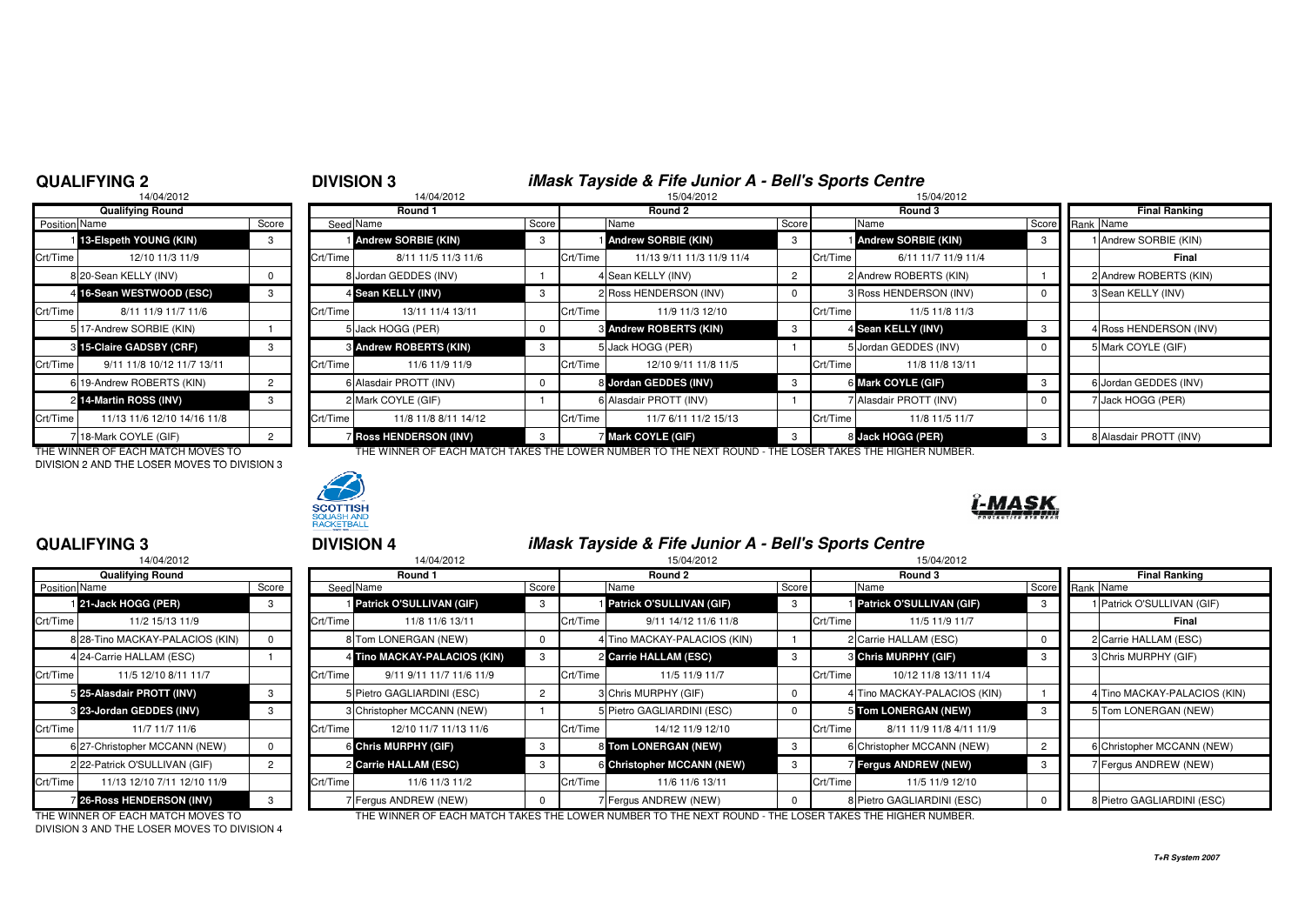## **QUALIFYING 2**

# <sup>2</sup> **DIVISION 3 iMask Tayside & Fife Junior A - Bell's Sports Centre** <sup>8</sup> 14/04/2012 15/04/2012 15/04/2012

|                      | 14/04/2012                  |                |                |
|----------------------|-----------------------------|----------------|----------------|
|                      | <b>Qualifying Round</b>     |                |                |
| <b>Position Name</b> |                             | Score          | Seed           |
| 11                   | 13-Elspeth YOUNG (KIN)      | 3              |                |
| Crt/Time             | 12/10 11/3 11/9             |                | Crt/Time       |
|                      | 8 20-Sean KELLY (INV)       | 0              | 8              |
| $\overline{4}$       | 16-Sean WESTWOOD (ESC)      | 3              | 4              |
| Crt/Time             | 8/11 11/9 11/7 11/6         |                | Crt/Time       |
|                      | 5 17-Andrew SORBIE (KIN)    |                | 5              |
| 3                    | 15-Claire GADSBY (CRF)      | 3              | 3              |
| Crt/Time             | 9/11 11/8 10/12 11/7 13/11  |                | Crt/Time       |
|                      | 6 19-Andrew ROBERTS (KIN)   | $\overline{2}$ | 6              |
|                      | 214-Martin ROSS (INV)       | 3              | $\overline{2}$ |
| Crt/Time             | 11/13 11/6 12/10 14/16 11/8 |                | Crt/Time       |
|                      | 18-Mark COYLE (GIF)         | $\overline{2}$ |                |

DIVISION 2 AND THE LOSER MOVES TO DIVISION 3



| <b>Qualifying Round</b>     |                                                                                                                                                                                                                                                                                      |          | Round 1              |                                                                                                                                                                                                                                   |          | Round 2                   |                                                                                                                                                                                                              | Round 3                                      |                                                                                                                                                                                                            | Final Ranking          |
|-----------------------------|--------------------------------------------------------------------------------------------------------------------------------------------------------------------------------------------------------------------------------------------------------------------------------------|----------|----------------------|-----------------------------------------------------------------------------------------------------------------------------------------------------------------------------------------------------------------------------------|----------|---------------------------|--------------------------------------------------------------------------------------------------------------------------------------------------------------------------------------------------------------|----------------------------------------------|------------------------------------------------------------------------------------------------------------------------------------------------------------------------------------------------------------|------------------------|
|                             | Score                                                                                                                                                                                                                                                                                |          |                      | Score                                                                                                                                                                                                                             |          | Name                      | Score                                                                                                                                                                                                        |                                              | Score                                                                                                                                                                                                      |                        |
|                             |                                                                                                                                                                                                                                                                                      |          |                      | 3                                                                                                                                                                                                                                 |          |                           |                                                                                                                                                                                                              |                                              |                                                                                                                                                                                                            | Andrew SORBIE (KIN)    |
| 12/10 11/3 11/9             |                                                                                                                                                                                                                                                                                      | Crt/Time | 8/11 11/5 11/3 11/6  |                                                                                                                                                                                                                                   |          | 11/13 9/11 11/3 11/9 11/4 |                                                                                                                                                                                                              | 6/11 11/7 11/9 11/4                          |                                                                                                                                                                                                            | Final                  |
|                             |                                                                                                                                                                                                                                                                                      |          |                      |                                                                                                                                                                                                                                   |          |                           |                                                                                                                                                                                                              |                                              |                                                                                                                                                                                                            | 2 Andrew ROBERTS (KIN) |
|                             |                                                                                                                                                                                                                                                                                      |          |                      |                                                                                                                                                                                                                                   |          |                           |                                                                                                                                                                                                              |                                              | - 0                                                                                                                                                                                                        | 3 Sean KELLY (INV)     |
| 8/11 11/9 11/7 11/6         |                                                                                                                                                                                                                                                                                      | Crt/Time | 13/11 11/4 13/11     |                                                                                                                                                                                                                                   | Crt/Time | 11/9 11/3 12/10           |                                                                                                                                                                                                              | 11/5 11/8 11/3                               |                                                                                                                                                                                                            |                        |
|                             |                                                                                                                                                                                                                                                                                      |          |                      |                                                                                                                                                                                                                                   |          |                           |                                                                                                                                                                                                              |                                              | - 3                                                                                                                                                                                                        | 4 Ross HENDERSON (INV) |
|                             |                                                                                                                                                                                                                                                                                      |          |                      | 3                                                                                                                                                                                                                                 |          |                           |                                                                                                                                                                                                              |                                              |                                                                                                                                                                                                            | 5 Mark COYLE (GIF)     |
| 9/11 11/8 10/12 11/7 13/11  |                                                                                                                                                                                                                                                                                      | Crt/Time | 11/6 11/9 11/9       |                                                                                                                                                                                                                                   | Crt/Time | 12/10 9/11 11/8 11/5      |                                                                                                                                                                                                              | 11/8 11/8 13/11                              |                                                                                                                                                                                                            |                        |
|                             |                                                                                                                                                                                                                                                                                      |          |                      |                                                                                                                                                                                                                                   |          |                           |                                                                                                                                                                                                              |                                              | -3                                                                                                                                                                                                         | 6 Jordan GEDDES (INV)  |
|                             |                                                                                                                                                                                                                                                                                      |          |                      |                                                                                                                                                                                                                                   |          |                           |                                                                                                                                                                                                              |                                              |                                                                                                                                                                                                            | Jack HOGG (PER)        |
| 11/13 11/6 12/10 14/16 11/8 |                                                                                                                                                                                                                                                                                      | Crt/Time | 11/8 11/8 8/11 14/12 |                                                                                                                                                                                                                                   | Crt/Time | 11/7 6/11 11/2 15/13      |                                                                                                                                                                                                              | 11/8 11/5 11/7                               |                                                                                                                                                                                                            |                        |
|                             |                                                                                                                                                                                                                                                                                      |          |                      |                                                                                                                                                                                                                                   |          |                           |                                                                                                                                                                                                              |                                              |                                                                                                                                                                                                            | 8 Alasdair PROTT (INV) |
|                             | Position Name<br>13-Elspeth YOUNG (KIN)<br>Crt/Time<br>8 20-Sean KELLY (INV)<br>4 16-Sean WESTWOOD (ESC)<br>Crt/Time<br>5 17-Andrew SORBIE (KIN)<br>3 15-Claire GADSBY (CRF)<br>Crt/Time<br>6 19-Andrew ROBERTS (KIN)<br>2 14-Martin ROSS (INV)<br>Crt/Time<br>7118-Mark COYLE (GIF) |          |                      | Seed Name<br><b>Andrew SORBIE (KIN)</b><br>8 Jordan GEDDES (INV)<br>4 Sean KELLY (INV)<br>5 Jack HOGG (PER)<br><b>&amp; Andrew ROBERTS (KIN)</b><br>6 Alasdair PROTT (INV)<br>2 Mark COYLE (GIF)<br><b>7 Ross HENDERSON (INV)</b> |          |                           | <b>Andrew SORBIE (KIN)</b><br>Crt/Time<br>4 Sean KELLY (INV)<br>2 Ross HENDERSON (INV)<br>3 Andrew ROBERTS (KIN)<br>5 Jack HOGG (PER)<br>8 Jordan GEDDES (INV)<br>6 Alasdair PROTT (INV)<br>Mark COYLE (GIF) | Crt/Time<br>Crt/Time<br>Crt/Time<br>Crt/Time | Name<br><b>Andrew SORBIE (KIN)</b><br>2 Andrew ROBERTS (KIN)<br>3 Ross HENDERSON (INV)<br>4 Sean KELLY (INV)<br>5 Jordan GEDDES (INV)<br>6 Mark COYLE (GIF)<br>7 Alasdair PROTT (INV)<br>8 Jack HOGG (PER) | Rank Name              |

THE WINNER OF EACH MATCH MOVES TO THE WINNER OF EACH MATCH TAKES THE LOWER NUMBER TO THE NEXT ROUND - THE LOSER TAKES THE HIGHER NUMBER.



## **QUALIFYING 3**

|               | 14/04/2012                       |                |          |
|---------------|----------------------------------|----------------|----------|
|               | <b>Qualifying Round</b>          |                |          |
| Position Name |                                  | Score          | Seed     |
|               | 121-Jack HOGG (PER)              | 3              |          |
| Crt/Time      | 11/2 15/13 11/9                  |                | Crt/Time |
|               | 8 28-Tino MACKAY-PALACIOS (KIN)  | 0              | 8        |
|               | 4 24-Carrie HALLAM (ESC)         |                | 4        |
| Crt/Time      | 11/5 12/10 8/11 11/7             |                | Crt/Time |
|               | 5 25-Alasdair PROTT (INV)        | 3              | 5        |
|               | 3 23-Jordan GEDDES (INV)         | 3              | 3        |
| Crt/Time      | 11/7 11/7 11/6                   |                | Crt/Time |
|               | 6 27-Christopher MCCANN (NEW)    | 0              | 6        |
|               | 2 22-Patrick O'SULLIVAN (GIF)    | $\overline{2}$ | 2        |
| Crt/Time      | 11/13 12/10 7/11 12/10 11/9      |                | Crt/Time |
|               | <b>7 26-Ross HENDERSON (INV)</b> | 3              | 7        |

DIVISION 3 AND THE LOSER MOVES TO DIVISION 4

## <sup>3</sup> **DIVISION 4 iMask Tayside & Fife Junior A - Bell's Sports Centre**

|                      | 14/04/2012                      |       |          | 14/04/2012                      |       |          | 15/04/2012                   | 15/04/2012 |          |                                 |    |                              |  |
|----------------------|---------------------------------|-------|----------|---------------------------------|-------|----------|------------------------------|------------|----------|---------------------------------|----|------------------------------|--|
|                      | <b>Qualifying Round</b>         |       |          | Round 1                         |       |          | Round 2                      |            |          | Round 3                         |    | <b>Final Ranking</b>         |  |
| <b>Position</b> Name |                                 | Score |          | Seed Name                       | Score |          | Name                         | Score      |          | Name                            |    | Score Rank Name              |  |
|                      | 121-Jack HOGG (PER)             |       |          | <b>Patrick O'SULLIVAN (GIF)</b> |       |          | Patrick O'SULLIVAN (GIF)     | 3          |          | <b>Patrick O'SULLIVAN (GIF)</b> |    | 1 Patrick O'SULLIVAN (GIF)   |  |
| Crt/Time             | 11/2 15/13 11/9                 |       | Crt/Time | 11/8 11/6 13/11                 |       | Crt/Time | 9/11 14/12 11/6 11/8         |            | Crt/Time | 11/5 11/9 11/7                  |    | Final                        |  |
|                      | 8 28-Tino MACKAY-PALACIOS (KIN) |       |          | 8 Tom LONERGAN (NEW)            |       |          | 4 Tino MACKAY-PALACIOS (KIN) |            |          | 2 Carrie HALLAM (ESC)           |    | 2 Carrie HALLAM (ESC)        |  |
|                      | 4 24-Carrie HALLAM (ESC)        |       |          | 4 Tino MACKAY-PALACIOS (KIN)    |       |          | 2 Carrie HALLAM (ESC)        | -3         |          | <b>8 Chris MURPHY (GIF)</b>     | -3 | 3 Chris MURPHY (GIF)         |  |
| Crt/Time             | 11/5 12/10 8/11 11/7            |       | Crt/Time | 9/11 9/11 11/7 11/6 11/9        |       | Crt/Time | 11/5 11/9 11/7               |            | Crt/Time | 10/12 11/8 13/11 11/4           |    |                              |  |
|                      | 5 25-Alasdair PROTT (INV)       |       |          | 5 Pietro GAGLIARDINI (ESC)      |       |          | 3 Chris MURPHY (GIF)         |            |          | 4 Tino MACKAY-PALACIOS (KIN)    |    | 4 Tino MACKAY-PALACIOS (KIN) |  |
|                      | 8 23-Jordan GEDDES (INV)        |       |          | 3 Christopher MCCANN (NEW)      |       |          | 5 Pietro GAGLIARDINI (ESC)   |            |          | 5 Tom LONERGAN (NEW)            |    | 5 Tom LONERGAN (NEW)         |  |
| Crt/Time             | 11/7 11/7 11/6                  |       | Crt/Time | 12/10 11/7 11/13 11/6           |       | Crt/Time | 14/12 11/9 12/10             |            | Crt/Time | 8/11 11/9 11/8 4/11 11/9        |    |                              |  |
|                      | 6 27-Christopher MCCANN (NEW)   |       |          | 6 Chris MURPHY (GIF)            | -3    |          | 8 Tom LONERGAN (NEW)         | -3         |          | 6 Christopher MCCANN (NEW)      |    | 6 Christopher MCCANN (NEW)   |  |
|                      | 2 22-Patrick O'SULLIVAN (GIF)   |       |          | 2 Carrie HALLAM (ESC)           |       |          | 6 Christopher MCCANN (NEW)   |            |          | 7 Fergus ANDREW (NEW)           |    | 7 Fergus ANDREW (NEW)        |  |
| Crt/Time             | 11/13 12/10 7/11 12/10 11/9     |       | Crt/Time | 11/6 11/3 11/2                  |       | Crt/Time | 11/6 11/6 13/11              |            | Crt/Time | 11/5 11/9 12/10                 |    |                              |  |
|                      | <b>26-Ross HENDERSON (INV)</b>  |       |          | 7 Fergus ANDREW (NEW)           |       |          | 7 Fergus ANDREW (NEW)        |            |          | 8 Pietro GAGLIARDINI (ESC)      |    | 8 Pietro GAGLIARDINI (ESC)   |  |
|                      |                                 |       |          |                                 |       |          |                              |            |          |                                 |    |                              |  |

THE WINNER OF EACH MATCH MOVES TO THE WINNER OF EACH MATCH TAKES THE LOWER NUMBER TO THE NEXT ROUND - THE LOSER TAKES THE HIGHER NUMBER.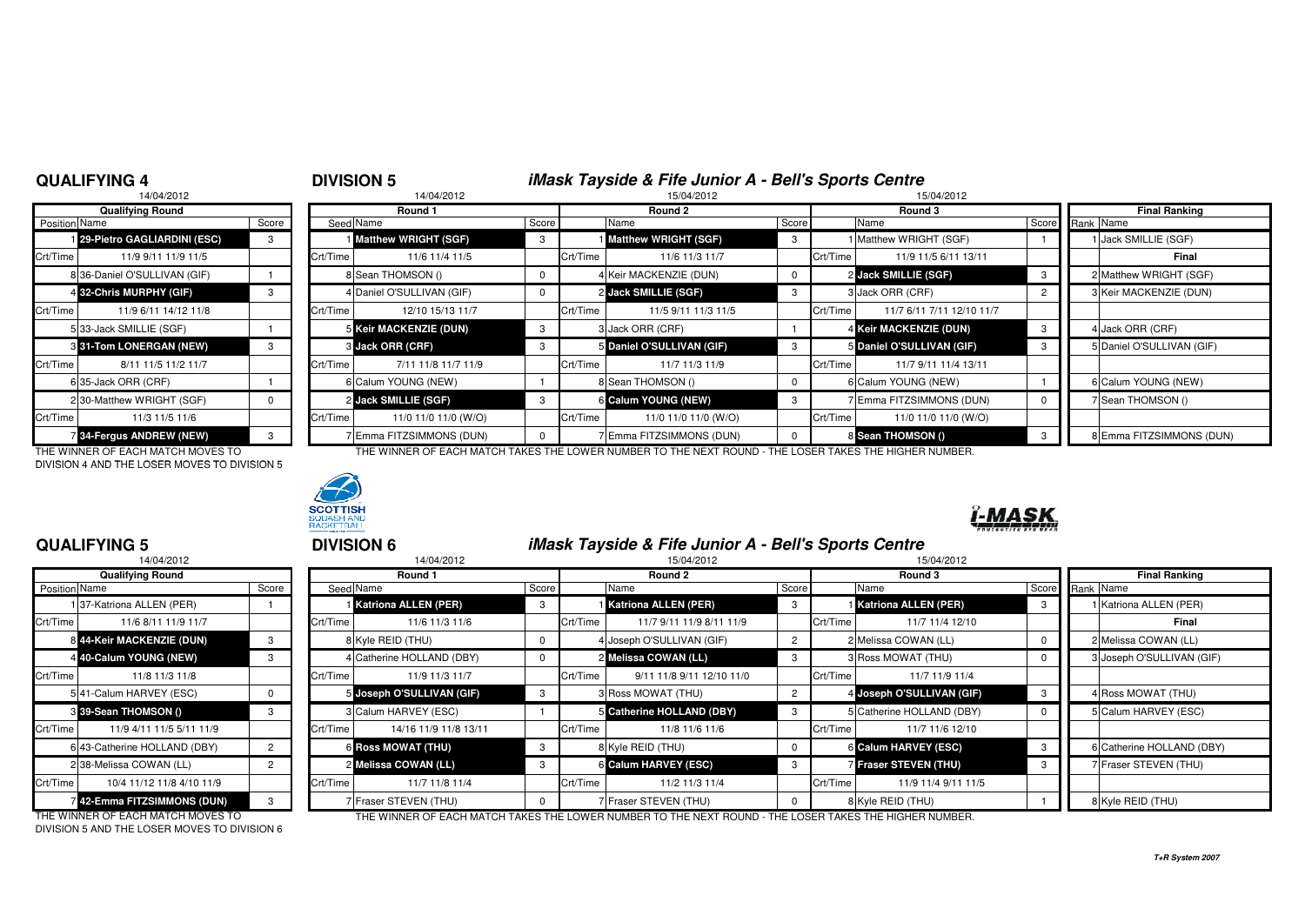### **QUALIFYING 4**

## <sup>4</sup> **DIVISION 5 iMask Tayside & Fife Junior A - Bell's Sports Centre**

|               | 14/04/2012                      |       |          | 14/04/2012                  |       |          | 15/04/2012                  |       | 15/04/2012 |                         |  |  |
|---------------|---------------------------------|-------|----------|-----------------------------|-------|----------|-----------------------------|-------|------------|-------------------------|--|--|
|               | <b>Qualifying Round</b>         |       |          | Round 1                     |       |          | Round 2                     |       | Round 3    |                         |  |  |
| Position Name |                                 | Score |          | Seed Name                   | Score |          | Name                        | Score |            | Name                    |  |  |
|               | 29-Pietro GAGLIARDINI (ESC)     | 3     |          | <b>Matthew WRIGHT (SGF)</b> | 3     |          | <b>Matthew WRIGHT (SGF)</b> | 3     |            | Matthew WRIGHT (SGF     |  |  |
| Crt/Time      | 11/9 9/11 11/9 11/5             |       | Crt/Time | 11/6 11/4 11/5              |       | Crt/Time | 11/6 11/3 11/7              |       | Crt/Time   | 11/9 11/5 6/11 1        |  |  |
|               | 8 36-Daniel O'SULLIVAN (GIF)    |       |          | 8 Sean THOMSON ()           | 0     |          | 4 Keir MACKENZIE (DUN)      | 0     |            | 2 Jack SMILLIE (SGF)    |  |  |
|               | 4 32-Chris MURPHY (GIF)         | 3     |          | 4 Daniel O'SULLIVAN (GIF)   | 0     |          | 2 Jack SMILLIE (SGF)        | 3     |            | 3 Jack ORR (CRF)        |  |  |
| Crt/Time      | 11/9 6/11 14/12 11/8            |       | Crt/Time | 12/10 15/13 11/7            |       | Crt/Time | 11/5 9/11 11/3 11/5         |       | Crt/Time   | 11/7 6/11 7/11 12/      |  |  |
|               | 533-Jack SMILLIE (SGF)          |       |          | 5 Keir MACKENZIE (DUN)      | 3     |          | 3 Jack ORR (CRF)            |       |            | 4 Keir MACKENZIE (DUN   |  |  |
|               | 3 31-Tom LONERGAN (NEW)         | 3     |          | 3 Jack ORR (CRF)            | 3     |          | 5 Daniel O'SULLIVAN (GIF)   | 3     |            | 5 Daniel O'SULLIVAN (GI |  |  |
| Crt/Time      | 8/11 11/5 11/2 11/7             |       | Crt/Time | 7/11 11/8 11/7 11/9         |       | Crt/Time | 11/7 11/3 11/9              |       | Crt/Time   | 11/7 9/11 11/4 1        |  |  |
|               | 6 35-Jack ORR (CRF)             |       |          | 6 Calum YOUNG (NEW)         |       |          | 8 Sean THOMSON ()           | 0     |            | 6 Calum YOUNG (NEW)     |  |  |
|               | 2 30-Matthew WRIGHT (SGF)       | 0     |          | 2 Jack SMILLIE (SGF)        | 3     |          | 6 Calum YOUNG (NEW)         | 3     |            | 7 Emma FITZSIMMONS (    |  |  |
| Crt/Time      | 11/3 11/5 11/6                  |       | Crt/Time | 11/0 11/0 11/0 (W/O)        |       | Crt/Time | 11/0 11/0 11/0 (W/O)        |       | Crt/Time   | 11/0 11/0 11/0 (        |  |  |
|               | <b>7 34-Fergus ANDREW (NEW)</b> | 3     |          | 7 Emma FITZSIMMONS (DUN)    | 0     |          | 7 Emma FITZSIMMONS (DUN)    | 0     |            | 8 Sean THOMSON ()       |  |  |

DIVISION 4 AND THE LOSER MOVES TO DIVISION 5



|                      | <b>Qualifying Round</b>         |       |          | Round 1                     |       |          | Round 2                       |       | Round 3  |                           |  | Final Ranking             |
|----------------------|---------------------------------|-------|----------|-----------------------------|-------|----------|-------------------------------|-------|----------|---------------------------|--|---------------------------|
| <b>Position Name</b> |                                 | Score |          | Seed Name                   | Score |          | Name                          | Score |          | Name                      |  | Score Rank Name           |
|                      | 129-Pietro GAGLIARDINI (ESC)    |       |          | <b>Matthew WRIGHT (SGF)</b> | -3    |          | <b>Matthew WRIGHT (SGF)</b>   |       |          | Matthew WRIGHT (SGF)      |  | 1 Jack SMILLIE (SGF)      |
| Crt/Time             | 11/9 9/11 11/9 11/5             |       | Crt/Time | 11/6 11/4 11/5              |       | Crt/Time | 11/6 11/3 11/7                |       | Crt/Time | 11/9 11/5 6/11 13/11      |  | Final                     |
|                      | 8 36-Daniel O'SULLIVAN (GIF)    |       |          | 8 Sean THOMSON ()           | 0     |          | 4 Keir MACKENZIE (DUN)        |       |          | 2 Jack SMILLIE (SGF)      |  | 2 Matthew WRIGHT (SGF)    |
|                      | 4 32-Chris MURPHY (GIF)         |       |          | 4 Daniel O'SULLIVAN (GIF)   | 0     |          | 2 Jack SMILLIE (SGF)          |       |          | 3 Jack ORR (CRF)          |  | 3 Keir MACKENZIE (DUN)    |
| Crt/Time             | 11/9 6/11 14/12 11/8            |       | Crt/Time | 12/10 15/13 11/7            |       | Crt/Time | 11/5 9/11 11/3 11/5           |       | Crt/Time | 11/7 6/11 7/11 12/10 11/7 |  |                           |
|                      | 533-Jack SMILLIE (SGF)          |       |          | 5 Keir MACKENZIE (DUN)      | -3    |          | 3 Jack ORR (CRF)              |       |          | 4 Keir MACKENZIE (DUN)    |  | 4 Jack ORR (CRF)          |
|                      | 3 31-Tom LONERGAN (NEW)         |       |          | 3 Jack ORR (CRF)            |       |          | 5 Daniel O'SULLIVAN (GIF)     |       |          | 5 Daniel O'SULLIVAN (GIF) |  | 5 Daniel O'SULLIVAN (GIF) |
| Crt/Time             | 8/11 11/5 11/2 11/7             |       | Crt/Time | 7/11 11/8 11/7 11/9         |       | Crt/Time | 11/7 11/3 11/9                |       | Crt/Time | 11/7 9/11 11/4 13/11      |  |                           |
|                      | 635-Jack ORR (CRF)              |       |          | 6 Calum YOUNG (NEW)         |       |          | 8 Sean THOMSON ()             |       |          | 6 Calum YOUNG (NEW)       |  | 6 Calum YOUNG (NEW)       |
|                      | 2 30-Matthew WRIGHT (SGF)       |       |          | 2 Jack SMILLIE (SGF)        | 3     |          | 6 Calum YOUNG (NEW)           |       |          | Filmma FITZSIMMONS (DUN)  |  | 7 Sean THOMSON ()         |
| Crt/Time             | 11/3 11/5 11/6                  |       | Crt/Time | 11/0 11/0 11/0 (W/O)        |       | Crt/Time | 11/0 11/0 11/0 (W/O)          |       | Crt/Time | 11/0 11/0 11/0 (W/O)      |  |                           |
|                      | <b>7 34-Fergus ANDREW (NEW)</b> |       |          | 7 Emma FITZSIMMONS (DUN)    |       |          | <b>Emma FITZSIMMONS (DUN)</b> |       |          | 8 Sean THOMSON ()         |  | 8 Emma FITZSIMMONS (DUN)  |

THE WINNER OF EACH MATCH MOVES TO THE WINNER OF EACH MATCH TAKES THE LOWER NUMBER TO THE NEXT ROUND - THE LOSER TAKES THE HIGHER NUMBER.



## **QUALIFYING 5**

| 14/04/2012    |                              |       | 14/04/2012 |                             |       |          | 15/04/2012                  | 15/04/2012     |          |                             |       |                 |                        |
|---------------|------------------------------|-------|------------|-----------------------------|-------|----------|-----------------------------|----------------|----------|-----------------------------|-------|-----------------|------------------------|
|               | <b>Qualifying Round</b>      |       |            | Round 1                     |       |          | Round 2                     |                |          | Round 3                     |       | <b>Final Ra</b> |                        |
| Position Name |                              | Score |            | Seed Name                   | Score |          | Name                        | Score          |          | Name                        | Score |                 | Rank Name              |
|               | 137-Katriona ALLEN (PER)     |       |            | <b>Katriona ALLEN (PER)</b> | 3     |          | <b>Katriona ALLEN (PER)</b> | 3              |          | <b>Katriona ALLEN (PER)</b> |       |                 | 1 Katriona ALLEN       |
| Crt/Time      | 11/6 8/11 11/9 11/7          |       | Crt/Time   | 11/6 11/3 11/6              |       | Crt/Time | 11/7 9/11 11/9 8/11 11/9    |                | Crt/Time | 11/7 11/4 12/10             |       |                 |                        |
|               | 8 44-Keir MACKENZIE (DUN)    | 3     |            | 8 Kyle REID (THU)           |       |          | 4 Joseph O'SULLIVAN (GIF)   |                |          | 2 Melissa COWAN (LL)        |       |                 | 2 Melissa COWAN        |
|               | 4 40-Calum YOUNG (NEW)       |       |            | 4 Catherine HOLLAND (DBY)   |       |          | 2 Melissa COWAN (LL)        |                |          | 3 Ross MOWAT (THU)          |       |                 | 3 Joseph O'SULLIV      |
| Crt/Time      | 11/8 11/3 11/8               |       | Crt/Time   | 11/9 11/3 11/7              |       | Crt/Time | 9/11 11/8 9/11 12/10 11/0   |                | Crt/Time | 11/7 11/9 11/4              |       |                 |                        |
|               | 541-Calum HARVEY (ESC)       |       |            | 5 Joseph O'SULLIVAN (GIF)   | -3    |          | 3 Ross MOWAT (THU)          | $\overline{2}$ |          | 4 Joseph O'SULLIVAN (GIF)   |       |                 | 4 Ross MOWAT (T        |
|               | 3 39-Sean THOMSON ()         | 3     |            | 3 Calum HARVEY (ESC)        |       |          | Catherine HOLLAND (DBY)     | 3              |          | 5 Catherine HOLLAND (DBY)   |       |                 | 5 Calum HARVEY         |
| Crt/Time      | 11/9 4/11 11/5 5/11 11/9     |       | Crt/Time   | 14/16 11/9 11/8 13/11       |       | Crt/Time | 11/8 11/6 11/6              |                | Crt/Time | 11/7 11/6 12/10             |       |                 |                        |
|               | 6 43-Catherine HOLLAND (DBY) |       |            | <b>6 Ross MOWAT (THU)</b>   | 3     |          | 8 Kyle REID (THU)           | 0              |          | 6 Calum HARVEY (ESC)        |       |                 | 6 Catherine HOLL       |
|               | 238-Melissa COWAN (LL)       |       |            | 2 Melissa COWAN (LL)        |       |          | 6 Calum HARVEY (ESC)        |                |          | Fraser STEVEN (THU)         |       |                 | <b>7 Fraser STEVEN</b> |
| Crt/Time      | 10/4 11/12 11/8 4/10 11/9    |       | Crt/Time   | 11/7 11/8 11/4              |       | Crt/Time | 11/2 11/3 11/4              |                | Crt/Time | 11/9 11/4 9/11 11/5         |       |                 |                        |
|               | 42-Emma FITZSIMMONS (DUN)    |       |            | 7 Fraser STEVEN (THU)       |       |          | 7 Fraser STEVEN (THU)       | $\Omega$       |          | 8 Kyle REID (THU)           |       |                 | 8 Kyle REID (THU)      |

 <sup>5</sup> **DIVISION 6 iMask Tayside & Fife Junior A - Bell's Sports Centre** 2 15/04/2012 15/04/2012 15/04/2012 15/04/2012 15/04/2012 15/04/2012 15/04/2012 **Round 1 Round 2 Round 3 Final Ranking** Name Score Seed Name Score Name Score Name Score Rank Name **Katriona ALLEN (PER)** <sup>3</sup> <sup>1</sup> **Katriona ALLEN (PER)** <sup>3</sup> <sup>1</sup> **Katriona ALLEN (PER)** <sup>3</sup> <sup>1</sup> Katriona ALLEN (PER) Crt/Time 11/6 8/11 11/9 11/7 Crt/Time 11/6 11/3 11/6 Crt/Time 11/7 9/11 11/9 8/11 11/9 Crt/Time 11/7 11/4 12/100 **Final 44-Keir MACKENZIE (DUN)** <sup>3</sup> <sup>8</sup> Kyle REID (THU) <sup>0</sup> <sup>4</sup> Joseph O'SULLIVAN (GIF) <sup>2</sup> <sup>2</sup> Melissa COWAN (LL) <sup>0</sup> <sup>2</sup> Melissa COWAN (LL) **40-Calum YOUNG (NEW)** <sup>3</sup> <sup>4</sup> Catherine HOLLAND (DBY) <sup>0</sup> <sup>2</sup> **Melissa COWAN (LL)** <sup>3</sup> <sup>3</sup> Ross MOWAT (THU) <sup>0</sup> <sup>3</sup> Joseph O'SULLIVAN (GIF) Crt/Time 11/9 11/3 11/7 **Crt/Time 11/8 9/11 11/8 9/11 12/10 11/0** Crt/Time 11/7 11/9 11/4 **Joseph O'SULLIVAN (GIF)** <sup>3</sup> <sup>3</sup> Ross MOWAT (THU) <sup>2</sup> <sup>4</sup> **Joseph O'SULLIVAN (GIF)** <sup>3</sup> <sup>4</sup> Ross MOWAT (THU) 3 Calum HARVEY (ESC) **1** 1 5 Catherine HOLLAND (DBY) **Catherine HOLLAND (DBY)** 0 5 Calum HARVEY (ESC) Crt/Time 11/9 4/11 11/5 5/11 11/9 Crt/Time 14/16 11/9 11/8 13/11 Crt/Time 11/8 11/6 11/6 Crt/Time 11/7 11/6 12/10**Ross MOWAT (THU)** 3 8 8 Kyle REID (THU) 6 Calum HARVEY (ESC) 3 8 6 Catherine HOLLAND (DBY) 2 Melissa COWAN (LL) 3 6 Galum HARVEY (ESC) **Calum 1 Calcum Fraser STEVEN (THU)** 3 7 Fraser STEVEN (THU) Crt/Time 10/4 11/12 11/8 4/10 11/9 Crt/Time 11/7 11/8 11/4 Crt/Time 11/2 11/3 11/4 Crt/Time 11/9 11/4 9/11 11/5

DIVISION 5 AND THE LOSER MOVES TO DIVISION 6

THE WINNER OF EACH MATCH MOVES TO THE WINNER OF EACH MATCH TAKES THE LOWER NUMBER TO THE NEXT ROUND - THE LOSER TAKES THE HIGHER NUMBER.

## **T+R System 2007**